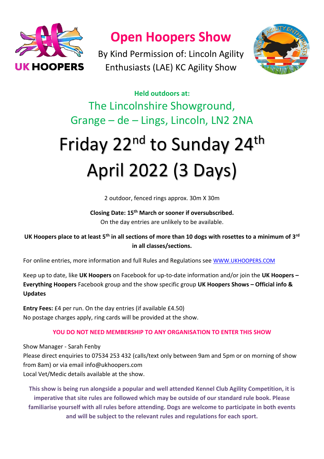

**Open Hoopers Show** 

By Kind Permission of: Lincoln Agility Enthusiasts (LAE) KC Agility Show



**Held outdoors at:** The Lincolnshire Showground, Grange – de – Lings, Lincoln, LN2 2NA

# Friday 22<sup>nd</sup> to Sunday 24<sup>th</sup> April 2022 (3 Days)

2 outdoor, fenced rings approx. 30m X 30m

# **Closing Date: 15th March or sooner if oversubscribed.** On the day entries are unlikely to be available.

# **UK Hoopers place to at least 5th in all sections of more than 10 dogs with rosettes to a minimum of 3rd in all classes/sections.**

For online entries, more information and full Rules and Regulations see [WWW.UKHOOPERS.COM](http://www.ukhoopers.com/)

Keep up to date, like **UK Hoopers** on Facebook for up-to-date information and/or join the **UK Hoopers – Everything Hoopers** Facebook group and the show specific group **UK Hoopers Shows – Official info & Updates**

**Entry Fees:** £4 per run. On the day entries (if available £4.50) No postage charges apply, ring cards will be provided at the show.

# **YOU DO NOT NEED MEMBERSHIP TO ANY ORGANISATION TO ENTER THIS SHOW**

Show Manager - Sarah Fenby

Please direct enquiries to 07534 253 432 (calls/text only between 9am and 5pm or on morning of show from 8am) or via email info@ukhoopers.com

Local Vet/Medic details available at the show.

**This show is being run alongside a popular and well attended Kennel Club Agility Competition, it is imperative that site rules are followed which may be outside of our standard rule book. Please familiarise yourself with all rules before attending. Dogs are welcome to participate in both events and will be subject to the relevant rules and regulations for each sport.**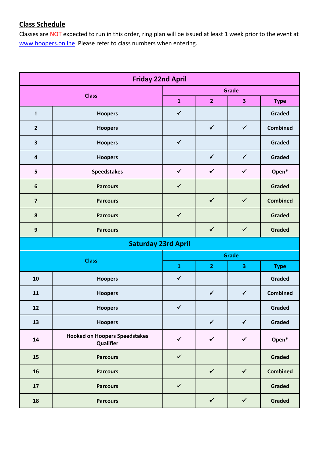# **Class Schedule**

Classes are **NOT** expected to run in this order, ring plan will be issued at least 1 week prior to the event at [www.hoopers.online](http://www.hoopers.online/) Please refer to class numbers when entering.

| <b>Friday 22nd April</b> |                                                   |              |                |              |                 |  |
|--------------------------|---------------------------------------------------|--------------|----------------|--------------|-----------------|--|
| <b>Class</b>             |                                                   | Grade        |                |              |                 |  |
|                          |                                                   | $\mathbf{1}$ | $\overline{2}$ | 3            | <b>Type</b>     |  |
| $\mathbf{1}$             | <b>Hoopers</b>                                    | $\checkmark$ |                |              | Graded          |  |
| $\overline{2}$           | <b>Hoopers</b>                                    |              | $\checkmark$   | $\checkmark$ | <b>Combined</b> |  |
| 3                        | <b>Hoopers</b>                                    | $\checkmark$ |                |              | Graded          |  |
| $\overline{\mathbf{4}}$  | <b>Hoopers</b>                                    |              | $\checkmark$   | $\checkmark$ | Graded          |  |
| 5                        | <b>Speedstakes</b>                                | $\checkmark$ | $\checkmark$   | $\checkmark$ | Open*           |  |
| $6\phantom{1}$           | <b>Parcours</b>                                   | $\checkmark$ |                |              | <b>Graded</b>   |  |
| $\overline{\mathbf{z}}$  | <b>Parcours</b>                                   |              | $\checkmark$   | $\checkmark$ | <b>Combined</b> |  |
| 8                        | <b>Parcours</b>                                   | $\checkmark$ |                |              | <b>Graded</b>   |  |
| $\mathbf{9}$             | <b>Parcours</b>                                   |              | $\checkmark$   | $\checkmark$ | <b>Graded</b>   |  |
|                          | <b>Saturday 23rd April</b>                        |              |                |              |                 |  |
| <b>Class</b>             |                                                   | Grade        |                |              |                 |  |
|                          |                                                   | $\mathbf{1}$ | $\overline{2}$ | 3            | <b>Type</b>     |  |
| 10                       | <b>Hoopers</b>                                    | $\checkmark$ |                |              | Graded          |  |
| 11                       | <b>Hoopers</b>                                    |              | $\checkmark$   | $\checkmark$ | <b>Combined</b> |  |
| 12                       | <b>Hoopers</b>                                    | $\checkmark$ |                |              | <b>Graded</b>   |  |
| 13                       | <b>Hoopers</b>                                    |              | $\checkmark$   | $\checkmark$ | <b>Graded</b>   |  |
| 14                       | <b>Hooked on Hoopers Speedstakes</b><br>Qualifier | $\checkmark$ | $\checkmark$   | $\checkmark$ | Open*           |  |
| 15                       | <b>Parcours</b>                                   | $\checkmark$ |                |              | <b>Graded</b>   |  |
| 16                       | <b>Parcours</b>                                   |              | $\checkmark$   | $\checkmark$ | <b>Combined</b> |  |
| 17                       | <b>Parcours</b>                                   | $\checkmark$ |                |              | <b>Graded</b>   |  |
| 18                       | <b>Parcours</b>                                   |              | $\checkmark$   | $\checkmark$ | <b>Graded</b>   |  |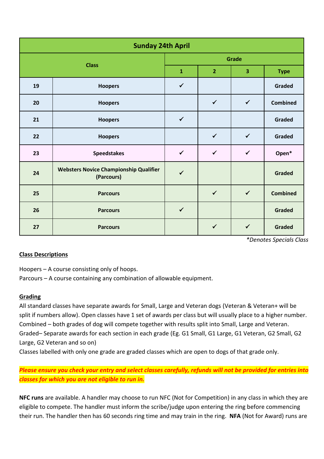| <b>Sunday 24th April</b> |                                                             |              |                |                         |                 |  |  |
|--------------------------|-------------------------------------------------------------|--------------|----------------|-------------------------|-----------------|--|--|
| <b>Class</b>             |                                                             | Grade        |                |                         |                 |  |  |
|                          |                                                             | $\mathbf 1$  | $\overline{2}$ | $\overline{\mathbf{3}}$ | <b>Type</b>     |  |  |
| 19                       | <b>Hoopers</b>                                              | $\checkmark$ |                |                         | Graded          |  |  |
| 20                       | <b>Hoopers</b>                                              |              | $\checkmark$   | $\checkmark$            | <b>Combined</b> |  |  |
| 21                       | <b>Hoopers</b>                                              | $\checkmark$ |                |                         | <b>Graded</b>   |  |  |
| 22                       | <b>Hoopers</b>                                              |              | $\checkmark$   | $\checkmark$            | Graded          |  |  |
| 23                       | <b>Speedstakes</b>                                          | $\checkmark$ | $\checkmark$   | $\checkmark$            | Open*           |  |  |
| 24                       | <b>Websters Novice Championship Qualifier</b><br>(Parcours) | $\checkmark$ |                |                         | <b>Graded</b>   |  |  |
| 25                       | <b>Parcours</b>                                             |              | $\checkmark$   | $\checkmark$            | <b>Combined</b> |  |  |
| 26                       | <b>Parcours</b>                                             | $\checkmark$ |                |                         | <b>Graded</b>   |  |  |
| 27                       | <b>Parcours</b>                                             |              | $\checkmark$   | $\checkmark$            | <b>Graded</b>   |  |  |

*\*Denotes Specials Class*

# **Class Descriptions**

Hoopers – A course consisting only of hoops.

Parcours – A course containing any combination of allowable equipment.

# **Grading**

All standard classes have separate awards for Small, Large and Veteran dogs (Veteran & Veteran+ will be split if numbers allow). Open classes have 1 set of awards per class but will usually place to a higher number. Combined – both grades of dog will compete together with results split into Small, Large and Veteran. Graded– Separate awards for each section in each grade (Eg. G1 Small, G1 Large, G1 Veteran, G2 Small, G2 Large, G2 Veteran and so on)

Classes labelled with only one grade are graded classes which are open to dogs of that grade only.

# *Please ensure you check your entry and select classes carefully, refunds will not be provided for entries into classes for which you are not eligible to run in.*

**NFC runs** are available. A handler may choose to run NFC (Not for Competition) in any class in which they are eligible to compete. The handler must inform the scribe/judge upon entering the ring before commencing their run. The handler then has 60 seconds ring time and may train in the ring. **NFA** (Not for Award) runs are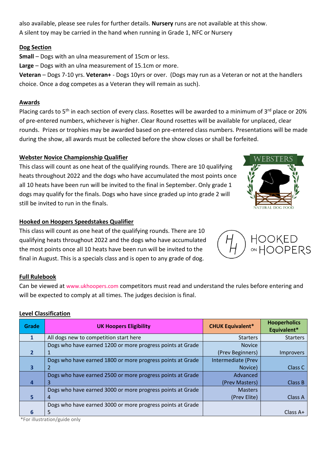also available, please see rules for further details. **Nursery** runs are not available at this show. A silent toy may be carried in the hand when running in Grade 1, NFC or Nursery

#### **Dog Section**

**Small** – Dogs with an ulna measurement of 15cm or less.

**Large** – Dogs with an ulna measurement of 15.1cm or more.

**Veteran** – Dogs 7-10 yrs. **Veteran+** - Dogs 10yrs or over. (Dogs may run as a Veteran or not at the handlers choice. Once a dog competes as a Veteran they will remain as such).

#### **Awards**

Placing cards to 5<sup>th</sup> in each section of every class. Rosettes will be awarded to a minimum of 3<sup>rd</sup> place or 20% of pre-entered numbers, whichever is higher. Clear Round rosettes will be available for unplaced, clear rounds. Prizes or trophies may be awarded based on pre-entered class numbers. Presentations will be made during the show, all awards must be collected before the show closes or shall be forfeited.

#### **Webster Novice Championship Qualifier**

This class will count as one heat of the qualifying rounds. There are 10 qualifying heats throughout 2022 and the dogs who have accumulated the most points once all 10 heats have been run will be invited to the final in September. Only grade 1 dogs may qualify for the finals. Dogs who have since graded up into grade 2 will still be invited to run in the finals.



#### **Hooked on Hoopers Speedstakes Qualifier**

This class will count as one heat of the qualifying rounds. There are 10 qualifying heats throughout 2022 and the dogs who have accumulated the most points once all 10 heats have been run will be invited to the final in August. This is a specials class and is open to any grade of dog.



#### **Full Rulebook**

Can be viewed at [www.ukhoopers.com](http://www.ukhoopers.com/) competitors must read and understand the rules before entering and will be expected to comply at all times. The judges decision is final.

#### **Level Classification**

| <b>Grade</b>            | <b>UK Hoopers Eligibility</b>                              | <b>CHUK Equivalent*</b> | <b>Hooperholics</b><br>Equivalent* |
|-------------------------|------------------------------------------------------------|-------------------------|------------------------------------|
|                         | All dogs new to competition start here                     | <b>Starters</b>         | <b>Starters</b>                    |
|                         | Dogs who have earned 1200 or more progress points at Grade | <b>Novice</b>           |                                    |
|                         |                                                            | (Prev Beginners)        | <i>Improvers</i>                   |
|                         | Dogs who have earned 1800 or more progress points at Grade | Intermediate (Prev      |                                    |
| 3                       |                                                            | Novice)                 | Class C                            |
|                         | Dogs who have earned 2500 or more progress points at Grade | Advanced                |                                    |
| 4                       | 3                                                          | (Prev Masters)          | Class B                            |
|                         | Dogs who have earned 3000 or more progress points at Grade | <b>Masters</b>          |                                    |
| $\overline{\mathbf{5}}$ | 4                                                          | (Prev Elite)            | <b>Class A</b>                     |
|                         | Dogs who have earned 3000 or more progress points at Grade |                         |                                    |
| 6                       | 5.                                                         |                         | Class $A+$                         |

\*For illustration/guide only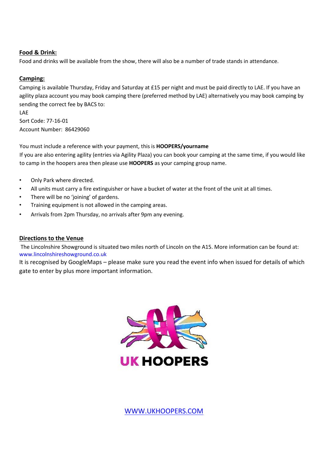#### **Food & Drink:**

Food and drinks will be available from the show, there will also be a number of trade stands in attendance.

#### **Camping:**

LAE

Camping is available Thursday, Friday and Saturday at £15 per night and must be paid directly to LAE. If you have an agility plaza account you may book camping there (preferred method by LAE) alternatively you may book camping by sending the correct fee by BACS to:

Sort Code: 77-16-01 Account Number: 86429060

You must include a reference with your payment, this is **HOOPERS/yourname** If you are also entering agility (entries via Agility Plaza) you can book your camping at the same time, if you would like to camp in the hoopers area then please use **HOOPERS** as your camping group name.

- Only Park where directed.
- All units must carry a fire extinguisher or have a bucket of water at the front of the unit at all times.
- There will be no 'joining' of gardens.
- Training equipment is not allowed in the camping areas.
- Arrivals from 2pm Thursday, no arrivals after 9pm any evening.

#### **Directions to the Venue**

The Lincolnshire Showground is situated two miles north of Lincoln on the A15. More information can be found at: www.lincolnshireshowground.co.uk

It is recognised by GoogleMaps – please make sure you read the event info when issued for details of which gate to enter by plus more important information.



[WWW.UKHOOPERS.COM](http://www.ukhoopers.com/)